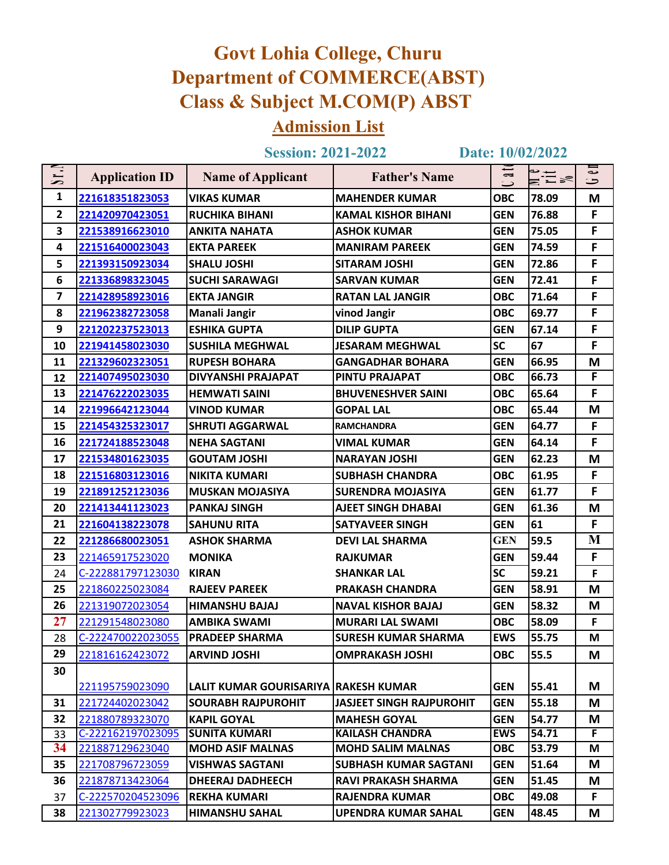## **Govt Lohia College, Churu Department of COMMERCE(ABST) Class & Subject M.COM(P) ABST**

## **Admission List**

**Session: 2021-2022** 

 $\bf{Date:}$   $\frac{10}{02}/2022$ 

|                                                                                 |                       | <b>Session: 2021-2022</b>            |                                 |                                            | Date: 10/02/2022      |         |
|---------------------------------------------------------------------------------|-----------------------|--------------------------------------|---------------------------------|--------------------------------------------|-----------------------|---------|
| $\overline{\phantom{a}}$<br>$\overline{\phantom{m}}$<br>$\overline{\mathbf{C}}$ | <b>Application ID</b> | <b>Name of Applicant</b>             | <b>Father's Name</b>            | $\overline{a}$<br>$\overline{\phantom{a}}$ | $\sum_{i=1}^{\infty}$ | نە<br>ح |
| $\mathbf{1}$                                                                    | 221618351823053       | <b>VIKAS KUMAR</b>                   | <b>MAHENDER KUMAR</b>           | <b>OBC</b>                                 | 78.09                 | M       |
| $\overline{2}$                                                                  | 221420970423051       | <b>RUCHIKA BIHANI</b>                | <b>KAMAL KISHOR BIHANI</b>      | <b>GEN</b>                                 | 76.88                 | F       |
| $\overline{\mathbf{3}}$                                                         | 221538916623010       | <b>ANKITA NAHATA</b>                 | <b>ASHOK KUMAR</b>              | <b>GEN</b>                                 | 75.05                 | F       |
| $\overline{\mathbf{4}}$                                                         | 221516400023043       | <b>EKTA PAREEK</b>                   | <b>MANIRAM PAREEK</b>           | <b>GEN</b>                                 | 74.59                 | F       |
| 5                                                                               | 221393150923034       | <b>SHALU JOSHI</b>                   | <b>SITARAM JOSHI</b>            | <b>GEN</b>                                 | 72.86                 | F       |
| 6                                                                               | 221336898323045       | <b>SUCHI SARAWAGI</b>                | <b>SARVAN KUMAR</b>             | <b>GEN</b>                                 | 72.41                 | F       |
| $\overline{7}$                                                                  | 221428958923016       | <b>EKTA JANGIR</b>                   | <b>RATAN LAL JANGIR</b>         | <b>OBC</b>                                 | 71.64                 | F       |
| 8                                                                               | 221962382723058       | <b>Manali Jangir</b>                 | vinod Jangir                    | <b>OBC</b>                                 | 69.77                 | F       |
| 9                                                                               | 221202237523013       | <b>ESHIKA GUPTA</b>                  | <b>DILIP GUPTA</b>              | <b>GEN</b>                                 | 67.14                 | F       |
| 10                                                                              | 221941458023030       | <b>SUSHILA MEGHWAL</b>               | <b>JESARAM MEGHWAL</b>          | <b>SC</b>                                  | 67                    | F       |
| 11                                                                              | 221329602323051       | <b>RUPESH BOHARA</b>                 | <b>GANGADHAR BOHARA</b>         | <b>GEN</b>                                 | 66.95                 | M       |
| 12                                                                              | 221407495023030       | DIVYANSHI PRAJAPAT                   | <b>PINTU PRAJAPAT</b>           | <b>OBC</b>                                 | 66.73                 | F       |
| 13                                                                              | 221476222023035       | <b>HEMWATI SAINI</b>                 | <b>BHUVENESHVER SAINI</b>       | <b>OBC</b>                                 | 65.64                 | F       |
| 14                                                                              | 221996642123044       | <b>VINOD KUMAR</b>                   | <b>GOPAL LAL</b>                | <b>OBC</b>                                 | 65.44                 | M       |
| 15                                                                              | 221454325323017       | <b>SHRUTI AGGARWAL</b>               | <b>RAMCHANDRA</b>               | <b>GEN</b>                                 | 64.77                 | F       |
| 16                                                                              | 221724188523048       | <b>NEHA SAGTANI</b>                  | VIMAL KUMAR                     | <b>GEN</b>                                 | 64.14                 | F       |
| 17                                                                              | 221534801623035       | <b>GOUTAM JOSHI</b>                  | <b>NARAYAN JOSHI</b>            | <b>GEN</b>                                 | 62.23                 | M       |
| 18                                                                              | 221516803123016       | <b>NIKITA KUMARI</b>                 | <b>SUBHASH CHANDRA</b>          | <b>OBC</b>                                 | 61.95                 | F       |
| 19                                                                              | 221891252123036       | <b>MUSKAN MOJASIYA</b>               | <b>SURENDRA MOJASIYA</b>        | <b>GEN</b>                                 | 61.77                 | F       |
| 20                                                                              | 221413441123023       | <b>PANKAJ SINGH</b>                  | <b>AJEET SINGH DHABAI</b>       | <b>GEN</b>                                 | 61.36                 | M       |
| 21                                                                              | 221604138223078       | <b>SAHUNU RITA</b>                   | <b>SATYAVEER SINGH</b>          | <b>GEN</b>                                 | 61                    | F       |
| 22                                                                              | 221286680023051       | <b>ASHOK SHARMA</b>                  | <b>DEVI LAL SHARMA</b>          | <b>GEN</b>                                 | 59.5                  | M       |
| 23                                                                              | 221465917523020       | <b>MONIKA</b>                        | <b>RAJKUMAR</b>                 | <b>GEN</b>                                 | 59.44                 | F       |
| 24                                                                              | C-222881797123030     | <b>KIRAN</b>                         | <b>SHANKAR LAL</b>              | <b>SC</b>                                  | 59.21                 | F       |
| 25                                                                              | 221860225023084       | <b>RAJEEV PAREEK</b>                 | <b>PRAKASH CHANDRA</b>          | <b>GEN</b>                                 | 58.91                 | M       |
| 26                                                                              | 221319072023054       | <b>HIMANSHU BAJAJ</b>                | <b>NAVAL KISHOR BAJAJ</b>       | <b>GEN</b>                                 | 58.32                 | M       |
| 27                                                                              | 221291548023080       | <b>AMBIKA SWAMI</b>                  | <b>MURARI LAL SWAMI</b>         | <b>OBC</b>                                 | 58.09                 | F       |
| 28                                                                              | C-222470022023055     | <b>PRADEEP SHARMA</b>                | <b>SURESH KUMAR SHARMA</b>      | <b>EWS</b>                                 | 55.75                 | M       |
| 29                                                                              | 221816162423072       | <b>ARVIND JOSHI</b>                  | <b>OMPRAKASH JOSHI</b>          | <b>OBC</b>                                 | 55.5                  | M       |
| 30                                                                              |                       |                                      |                                 |                                            |                       |         |
|                                                                                 | 221195759023090       | LALIT KUMAR GOURISARIYA RAKESH KUMAR |                                 | <b>GEN</b>                                 | 55.41                 | M       |
| 31                                                                              | 221724402023042       | <b>SOURABH RAJPUROHIT</b>            | <b>JASJEET SINGH RAJPUROHIT</b> | <b>GEN</b>                                 | 55.18                 | Μ       |
| 32                                                                              | 221880789323070       | <b>KAPIL GOYAL</b>                   | <b>MAHESH GOYAL</b>             | <b>GEN</b>                                 | 54.77                 | M       |
| 33                                                                              | C-222162197023095     | <b>SUNITA KUMARI</b>                 | <b>KAILASH CHANDRA</b>          | <b>EWS</b>                                 | 54.71                 | F.      |
| 34                                                                              | 221887129623040       | <b>MOHD ASIF MALNAS</b>              | <b>MOHD SALIM MALNAS</b>        | <b>OBC</b>                                 | 53.79                 | M       |
| 35                                                                              | 221708796723059       | <b>VISHWAS SAGTANI</b>               | <b>SUBHASH KUMAR SAGTANI</b>    | <b>GEN</b>                                 | 51.64                 | M       |
| 36                                                                              | 221878713423064       | <b>DHEERAJ DADHEECH</b>              | <b>RAVI PRAKASH SHARMA</b>      | <b>GEN</b>                                 | 51.45                 | M       |
| 37                                                                              | C-222570204523096     | <b>REKHA KUMARI</b>                  | <b>RAJENDRA KUMAR</b>           | <b>OBC</b>                                 | 49.08                 | F.      |
| 38                                                                              | 221302779923023       | <b>HIMANSHU SAHAL</b>                | <b>UPENDRA KUMAR SAHAL</b>      | <b>GEN</b>                                 | 48.45                 | Μ       |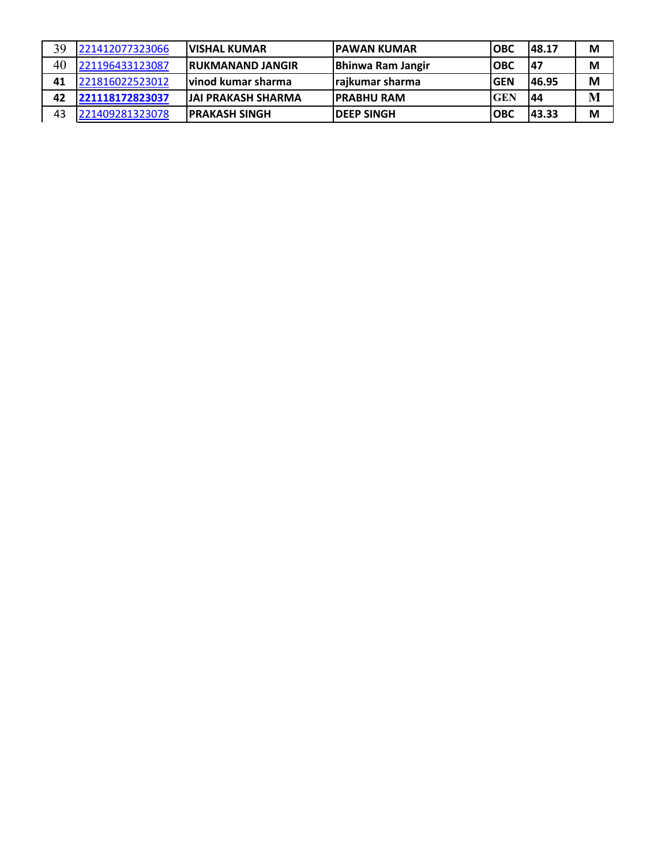| 39 | 221412077323066 | <b>IVISHAL KUMAR</b>       | <b>IPAWAN KUMAR</b>      | <b>IOBC</b> | 148.17 | M |
|----|-----------------|----------------------------|--------------------------|-------------|--------|---|
| 40 | 221196433123087 | <b>RUKMANAND JANGIR</b>    | <b>Bhinwa Ram Jangir</b> | <b>IOBC</b> | 147    | M |
| 41 | 221816022523012 | lvinod kumar sharma        | rajkumar sharma          | <b>GEN</b>  | 146.95 | M |
| 42 | 221118172823037 | <b>JJAI PRAKASH SHARMA</b> | <b>IPRABHU RAM</b>       | <b>GEN</b>  | 44     | M |
| 43 | 221409281323078 | <b>IPRAKASH SINGH</b>      | <b>IDEEP SINGH</b>       | <b>OBC</b>  | 43.33  | M |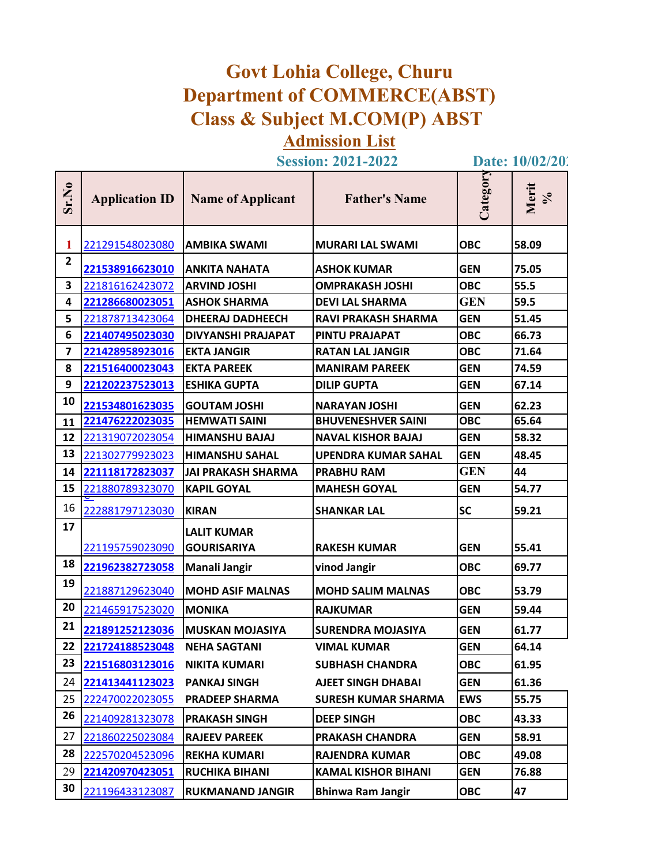## **Govt Lohia College, Churu Department of COMMERCE(ABST) Class & Subject M.COM(P) ABST Admission List**

**Session: 2021-2022** Date: 10/02/202

| Sr.No                   | <b>Application ID</b> | <b>Name of Applicant</b>  | <b>Father's Name</b>       | Category   | Merit<br>$\mathcal{S}_{\mathbf{0}}$ |
|-------------------------|-----------------------|---------------------------|----------------------------|------------|-------------------------------------|
| 1                       | 221291548023080       | <b>AMBIKA SWAMI</b>       | <b>MURARI LAL SWAMI</b>    | <b>OBC</b> | 58.09                               |
| $\overline{2}$          | 221538916623010       | <b>ANKITA NAHATA</b>      | <b>ASHOK KUMAR</b>         | <b>GEN</b> | 75.05                               |
| 3                       | 221816162423072       | <b>ARVIND JOSHI</b>       | <b>OMPRAKASH JOSHI</b>     | <b>OBC</b> | 55.5                                |
| 4                       | 221286680023051       | <b>ASHOK SHARMA</b>       | <b>DEVI LAL SHARMA</b>     | <b>GEN</b> | 59.5                                |
| 5                       | 221878713423064       | <b>DHEERAJ DADHEECH</b>   | <b>RAVI PRAKASH SHARMA</b> | <b>GEN</b> | 51.45                               |
| 6                       | 221407495023030       | DIVYANSHI PRAJAPAT        | <b>PINTU PRAJAPAT</b>      | <b>OBC</b> | 66.73                               |
| $\overline{\mathbf{z}}$ | 221428958923016       | <b>EKTA JANGIR</b>        | <b>RATAN LAL JANGIR</b>    | <b>OBC</b> | 71.64                               |
| 8                       | 221516400023043       | <b>EKTA PAREEK</b>        | <b>MANIRAM PAREEK</b>      | <b>GEN</b> | 74.59                               |
| 9                       | 221202237523013       | <b>ESHIKA GUPTA</b>       | <b>DILIP GUPTA</b>         | <b>GEN</b> | 67.14                               |
| 10                      | 221534801623035       | <b>GOUTAM JOSHI</b>       | <b>NARAYAN JOSHI</b>       | <b>GEN</b> | 62.23                               |
| 11                      | 221476222023035       | <b>HEMWATI SAINI</b>      | <b>BHUVENESHVER SAINI</b>  | <b>OBC</b> | 65.64                               |
| 12                      | 221319072023054       | <b>HIMANSHU BAJAJ</b>     | <b>NAVAL KISHOR BAJAJ</b>  | <b>GEN</b> | 58.32                               |
| 13                      | 221302779923023       | <b>HIMANSHU SAHAL</b>     | <b>UPENDRA KUMAR SAHAL</b> | <b>GEN</b> | 48.45                               |
| 14                      | 221118172823037       | <b>JAI PRAKASH SHARMA</b> | <b>PRABHU RAM</b>          | <b>GEN</b> | 44                                  |
| 15                      | 221880789323070       | <b>KAPIL GOYAL</b>        | <b>MAHESH GOYAL</b>        | <b>GEN</b> | 54.77                               |
| 16                      | 222881797123030       | <b>KIRAN</b>              | <b>SHANKAR LAL</b>         | <b>SC</b>  | 59.21                               |
| 17                      |                       | <b>LALIT KUMAR</b>        |                            |            |                                     |
|                         | 221195759023090       | <b>GOURISARIYA</b>        | <b>RAKESH KUMAR</b>        | <b>GEN</b> | 55.41                               |
| 18                      | 221962382723058       | Manali Jangir             | vinod Jangir               | <b>OBC</b> | 69.77                               |
| 19                      | 221887129623040       | <b>MOHD ASIF MALNAS</b>   | <b>MOHD SALIM MALNAS</b>   | <b>OBC</b> | 53.79                               |
| 20                      | 221465917523020       | <b>MONIKA</b>             | <b>RAJKUMAR</b>            | <b>GEN</b> | 59.44                               |
| 21                      | 221891252123036       | <b>MUSKAN MOJASIYA</b>    | <b>SURENDRA MOJASIYA</b>   | <b>GEN</b> | 61.77                               |
| 22                      | 221724188523048       | <b>NEHA SAGTANI</b>       | <b>VIMAL KUMAR</b>         | <b>GEN</b> | 64.14                               |
| 23                      | 221516803123016       | <b>NIKITA KUMARI</b>      | <b>SUBHASH CHANDRA</b>     | <b>OBC</b> | 61.95                               |
| 24                      | 221413441123023       | <b>PANKAJ SINGH</b>       | <b>AJEET SINGH DHABAI</b>  | <b>GEN</b> | 61.36                               |
| 25                      | 222470022023055       | <b>PRADEEP SHARMA</b>     | <b>SURESH KUMAR SHARMA</b> | <b>EWS</b> | 55.75                               |
| 26                      | 221409281323078       | <b>PRAKASH SINGH</b>      | <b>DEEP SINGH</b>          | <b>OBC</b> | 43.33                               |
| 27                      | 221860225023084       | <b>RAJEEV PAREEK</b>      | <b>PRAKASH CHANDRA</b>     | <b>GEN</b> | 58.91                               |
| 28                      | 222570204523096       | <b>REKHA KUMARI</b>       | <b>RAJENDRA KUMAR</b>      | <b>OBC</b> | 49.08                               |
| 29                      | 221420970423051       | <b>RUCHIKA BIHANI</b>     | <b>KAMAL KISHOR BIHANI</b> | <b>GEN</b> | 76.88                               |
| 30                      | 221196433123087       | <b>RUKMANAND JANGIR</b>   | <b>Bhinwa Ram Jangir</b>   | <b>OBC</b> | 47                                  |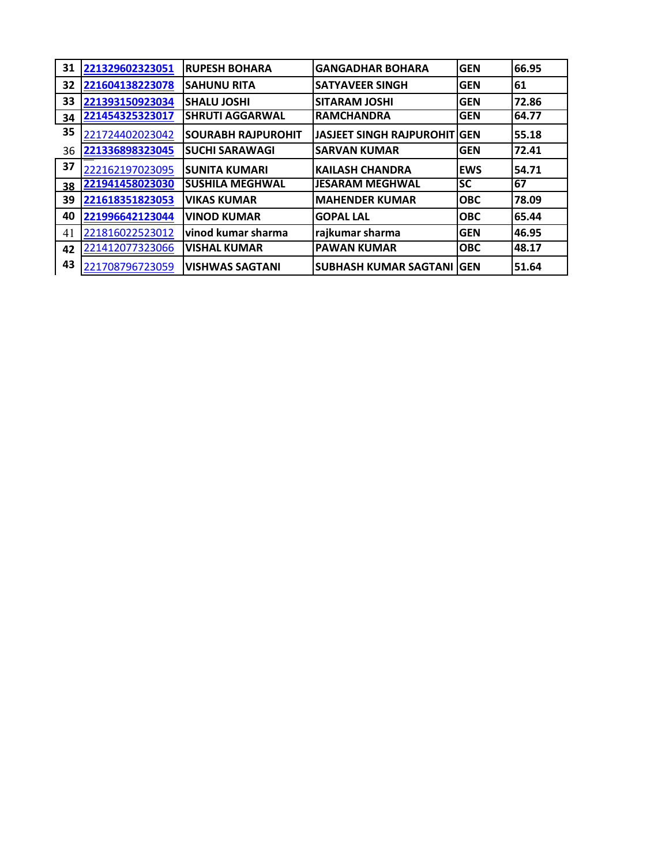| 31 | 221329602323051 | <b>RUPESH BOHARA</b>      | <b>GANGADHAR BOHARA</b>             | <b>GEN</b> | 66.95 |
|----|-----------------|---------------------------|-------------------------------------|------------|-------|
| 32 | 221604138223078 | <b>SAHUNU RITA</b>        | <b>SATYAVEER SINGH</b>              | <b>GEN</b> | 61    |
| 33 | 221393150923034 | <b>SHALU JOSHI</b>        | <b>SITARAM JOSHI</b>                | <b>GEN</b> | 72.86 |
| 34 | 221454325323017 | <b>SHRUTI AGGARWAL</b>    | <b>RAMCHANDRA</b>                   | <b>GEN</b> | 64.77 |
| 35 | 221724402023042 | <b>SOURABH RAJPUROHIT</b> | <b>JASJEET SINGH RAJPUROHIT GEN</b> |            | 55.18 |
| 36 | 221336898323045 | <b>SUCHI SARAWAGI</b>     | <b>SARVAN KUMAR</b>                 | <b>GEN</b> | 72.41 |
| 37 | 222162197023095 | <b>SUNITA KUMARI</b>      | <b>KAILASH CHANDRA</b>              | <b>EWS</b> | 54.71 |
| 38 | 221941458023030 | <b>SUSHILA MEGHWAL</b>    | <b>JESARAM MEGHWAL</b>              | <b>SC</b>  | 67    |
| 39 | 221618351823053 | <b>VIKAS KUMAR</b>        | <b>MAHENDER KUMAR</b>               | <b>OBC</b> | 78.09 |
| 40 | 221996642123044 | <b>VINOD KUMAR</b>        | <b>GOPAL LAL</b>                    | <b>OBC</b> | 65.44 |
| 41 | 221816022523012 | vinod kumar sharma        | rajkumar sharma                     | <b>GEN</b> | 46.95 |
| 42 | 221412077323066 | <b>VISHAL KUMAR</b>       | <b>PAWAN KUMAR</b>                  | <b>OBC</b> | 48.17 |
| 43 | 221708796723059 | <b>VISHWAS SAGTANI</b>    | <b>SUBHASH KUMAR SAGTANI GEN</b>    |            | 51.64 |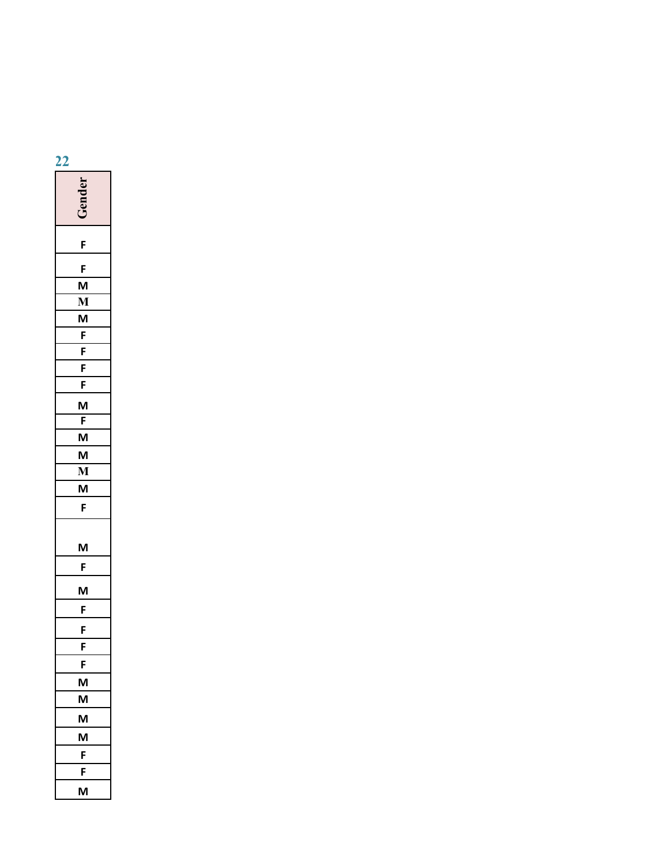| 22                        |
|---------------------------|
| Gender                    |
| F                         |
| $\mathsf F$               |
| $\mathsf{M}$              |
| $\overline{\mathbf{M}}$   |
| $M$                       |
| $\overline{F}$            |
| $\frac{F}{F}$             |
|                           |
| F                         |
| $\boldsymbol{\mathsf{M}}$ |
| F                         |
| $\overline{M}$            |
| $\boldsymbol{\mathsf{M}}$ |
| $\overline{\mathbf{M}}$   |
| M                         |
| $\mathsf F$               |
|                           |
| $\mathsf{M}$              |
|                           |
| F                         |
| M                         |
| F                         |
| F                         |
| $\overline{F}$            |
| $\overline{F}$            |
| M                         |
| $\boldsymbol{\mathsf{M}}$ |
| M                         |
| M                         |
| F                         |
| $\overline{F}$            |
| $\mathsf{M}$              |
|                           |